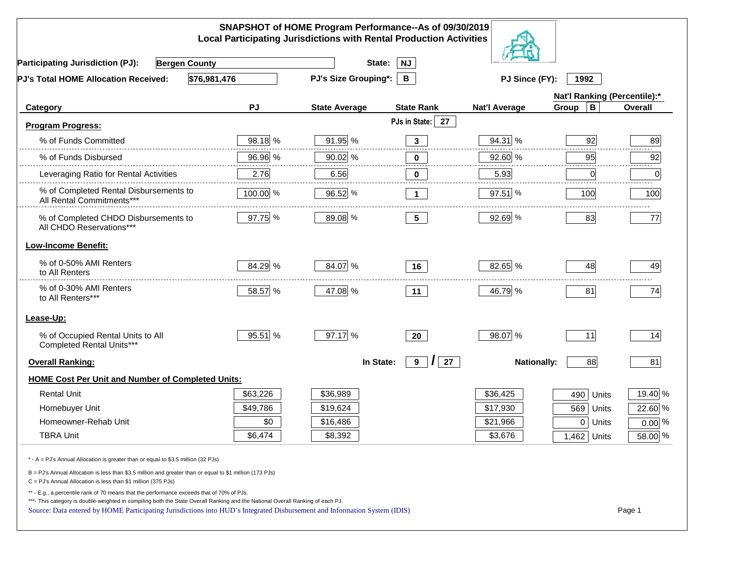|                                                                                                                                                                                                                                                                                                                                                          |          | SNAPSHOT of HOME Program Performance--As of 09/30/2019<br><b>Local Participating Jurisdictions with Rental Production Activities</b> |                               |                      |                              |                |
|----------------------------------------------------------------------------------------------------------------------------------------------------------------------------------------------------------------------------------------------------------------------------------------------------------------------------------------------------------|----------|--------------------------------------------------------------------------------------------------------------------------------------|-------------------------------|----------------------|------------------------------|----------------|
| <b>Participating Jurisdiction (PJ):</b><br><b>Bergen County</b>                                                                                                                                                                                                                                                                                          |          | State:                                                                                                                               | <b>NJ</b>                     |                      |                              |                |
| \$76,981,476<br>PJ's Total HOME Allocation Received:                                                                                                                                                                                                                                                                                                     |          | <b>PJ's Size Grouping*:</b>                                                                                                          | В                             | PJ Since (FY):       | 1992                         |                |
|                                                                                                                                                                                                                                                                                                                                                          |          |                                                                                                                                      |                               |                      | Nat'l Ranking (Percentile):* |                |
| Category                                                                                                                                                                                                                                                                                                                                                 | PJ       | <b>State Average</b>                                                                                                                 | <b>State Rank</b>             | <b>Nat'l Average</b> | В<br>Group                   | <b>Overall</b> |
| <b>Program Progress:</b>                                                                                                                                                                                                                                                                                                                                 |          |                                                                                                                                      | PJs in State:<br>27           |                      |                              |                |
| % of Funds Committed                                                                                                                                                                                                                                                                                                                                     | 98.18 %  | 91.95 %                                                                                                                              | $\mathbf{3}$                  | 94.31 %              | 92                           | 89             |
| % of Funds Disbursed                                                                                                                                                                                                                                                                                                                                     | 96.96 %  | 90.02 %                                                                                                                              | -----<br>0                    | 92.60 %              | 95                           | 92             |
| Leveraging Ratio for Rental Activities                                                                                                                                                                                                                                                                                                                   | 2.76     | 6.56                                                                                                                                 | 0                             | 5.93                 | 0                            | .<br>0         |
| % of Completed Rental Disbursements to<br>All Rental Commitments***                                                                                                                                                                                                                                                                                      | 100.00 % | 96.52 %                                                                                                                              | $\mathbf 1$                   | $97.51$ %            | 100                          | 100            |
| % of Completed CHDO Disbursements to<br>All CHDO Reservations***                                                                                                                                                                                                                                                                                         | 97.75 %  | 89.08 %                                                                                                                              | 5 <sub>5</sub>                | 92.69 %              | 83                           | 77             |
| <b>Low-Income Benefit:</b>                                                                                                                                                                                                                                                                                                                               |          |                                                                                                                                      |                               |                      |                              |                |
| % of 0-50% AMI Renters<br>to All Renters                                                                                                                                                                                                                                                                                                                 | 84.29 %  | 84.07 %                                                                                                                              | 16                            | 82.65 %              | 48                           | 49             |
| % of 0-30% AMI Renters<br>to All Renters***                                                                                                                                                                                                                                                                                                              | 58.57 %  | 47.08 %                                                                                                                              | 11                            | 46.79 %              | 81                           | 74             |
| Lease-Up:                                                                                                                                                                                                                                                                                                                                                |          |                                                                                                                                      |                               |                      |                              |                |
| % of Occupied Rental Units to All<br>Completed Rental Units***                                                                                                                                                                                                                                                                                           | 95.51 %  | 97.17 %                                                                                                                              | 20                            | 98.07 %              | 11                           | 14             |
| <b>Overall Ranking:</b>                                                                                                                                                                                                                                                                                                                                  |          | In State:                                                                                                                            | $9^{\circ}$<br>$\prime$<br>27 | <b>Nationally:</b>   | 88                           | 81             |
| <b>HOME Cost Per Unit and Number of Completed Units:</b>                                                                                                                                                                                                                                                                                                 |          |                                                                                                                                      |                               |                      |                              |                |
| <b>Rental Unit</b>                                                                                                                                                                                                                                                                                                                                       | \$63,226 | \$36,989                                                                                                                             |                               | \$36,425             | 490<br>Units                 | 19.40 %        |
| Homebuyer Unit                                                                                                                                                                                                                                                                                                                                           | \$49,786 | \$19,624                                                                                                                             |                               | \$17,930             | 569<br>Units                 | 22.60 %        |
| Homeowner-Rehab Unit                                                                                                                                                                                                                                                                                                                                     | \$0      | \$16,486                                                                                                                             |                               | \$21,966             | $\mathbf 0$<br>Units         | $0.00\%$       |
| <b>TBRA Unit</b>                                                                                                                                                                                                                                                                                                                                         | \$6,474  | \$8,392                                                                                                                              |                               | \$3,676              | 1,462 Units                  | 58.00 %        |
| * - A = PJ's Annual Allocation is greater than or equal to \$3.5 million (32 PJs)                                                                                                                                                                                                                                                                        |          |                                                                                                                                      |                               |                      |                              |                |
| B = PJ's Annual Allocation is less than \$3.5 million and greater than or equal to \$1 million (173 PJs)<br>$C = PJ's$ Annual Allocation is less than \$1 million (375 PJs)                                                                                                                                                                              |          |                                                                                                                                      |                               |                      |                              |                |
| ** - E.g., a percentile rank of 70 means that the performance exceeds that of 70% of PJs.<br>***- This category is double-weighted in compiling both the State Overall Ranking and the National Overall Ranking of each PJ.<br>Source: Data entered by HOME Participating Jurisdictions into HUD's Integrated Disbursement and Information System (IDIS) |          |                                                                                                                                      |                               |                      |                              | Page 1         |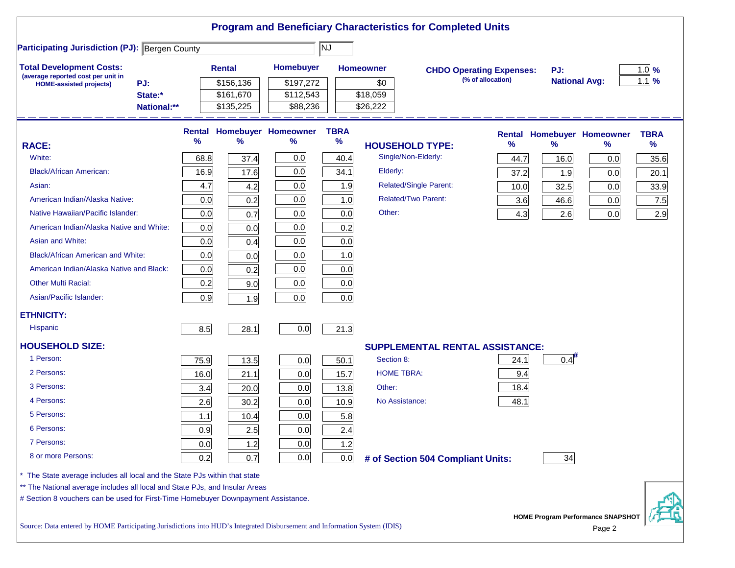|                                                                                                                           |      |               |                            |             |                   | <b>Program and Beneficiary Characteristics for Completed Units</b> |                                 |                      |                                                    |             |
|---------------------------------------------------------------------------------------------------------------------------|------|---------------|----------------------------|-------------|-------------------|--------------------------------------------------------------------|---------------------------------|----------------------|----------------------------------------------------|-------------|
| <b>Participating Jurisdiction (PJ): Bergen County</b>                                                                     |      |               |                            | NJ          |                   |                                                                    |                                 |                      |                                                    |             |
| <b>Total Development Costs:</b>                                                                                           |      | <b>Rental</b> | Homebuyer                  |             | <b>Homeowner</b>  |                                                                    | <b>CHDO Operating Expenses:</b> | PJ:                  |                                                    | $1.0\%$     |
| (average reported cost per unit in<br>PJ:<br><b>HOME-assisted projects)</b>                                               |      | \$156,136     | \$197,272                  |             | \$0               |                                                                    | (% of allocation)               | <b>National Avg:</b> |                                                    | $1.1$ %     |
| State:*                                                                                                                   |      | \$161,670     | \$112,543                  |             | \$18,059          |                                                                    |                                 |                      |                                                    |             |
| National:**                                                                                                               |      | \$135,225     | \$88,236                   |             | \$26,222          |                                                                    |                                 |                      |                                                    |             |
|                                                                                                                           |      |               | Rental Homebuyer Homeowner | <b>TBRA</b> |                   |                                                                    | <b>Rental</b>                   |                      | <b>Homebuyer Homeowner</b>                         | <b>TBRA</b> |
| <b>RACE:</b>                                                                                                              | %    | %             | %                          | $\%$        |                   | <b>HOUSEHOLD TYPE:</b>                                             | %                               | $\frac{9}{6}$        | ℅                                                  | %           |
| White:                                                                                                                    | 68.8 | 37.4          | 0.0                        | 40.4        |                   | Single/Non-Elderly:                                                | 44.7                            | 16.0                 | 0.0                                                | 35.6        |
| <b>Black/African American:</b>                                                                                            | 16.9 | 17.6          | 0.0                        | 34.1        | Elderly:          |                                                                    | 37.2                            | 1.9                  | 0.0                                                | 20.1        |
| Asian:                                                                                                                    | 4.7  | 4.2           | 0.0                        | 1.9         |                   | <b>Related/Single Parent:</b>                                      | 10.0                            | 32.5                 | 0.0                                                | 33.9        |
| American Indian/Alaska Native:                                                                                            | 0.0  | 0.2           | 0.0                        | 1.0         |                   | <b>Related/Two Parent:</b>                                         | 3.6                             | 46.6                 | 0.0                                                | 7.5         |
| Native Hawaiian/Pacific Islander:                                                                                         | 0.0  | 0.7           | 0.0                        | 0.0         | Other:            |                                                                    | 4.3                             | 2.6                  | 0.0                                                | 2.9         |
| American Indian/Alaska Native and White:                                                                                  | 0.0  | 0.0           | 0.0                        | 0.2         |                   |                                                                    |                                 |                      |                                                    |             |
| Asian and White:                                                                                                          | 0.0  | 0.4           | 0.0                        | 0.0         |                   |                                                                    |                                 |                      |                                                    |             |
| <b>Black/African American and White:</b>                                                                                  | 0.0  | 0.0           | 0.0                        | 1.0         |                   |                                                                    |                                 |                      |                                                    |             |
| American Indian/Alaska Native and Black:                                                                                  | 0.0  | 0.2           | 0.0                        | 0.0         |                   |                                                                    |                                 |                      |                                                    |             |
| <b>Other Multi Racial:</b>                                                                                                | 0.2  | 9.0           | 0.0                        | 0.0         |                   |                                                                    |                                 |                      |                                                    |             |
| Asian/Pacific Islander:                                                                                                   | 0.9  | 1.9           | 0.0                        | 0.0         |                   |                                                                    |                                 |                      |                                                    |             |
| <b>ETHNICITY:</b>                                                                                                         |      |               |                            |             |                   |                                                                    |                                 |                      |                                                    |             |
| <b>Hispanic</b>                                                                                                           | 8.5  | 28.1          | 0.0                        | 21.3        |                   |                                                                    |                                 |                      |                                                    |             |
| <b>HOUSEHOLD SIZE:</b>                                                                                                    |      |               |                            |             |                   | <b>SUPPLEMENTAL RENTAL ASSISTANCE:</b>                             |                                 |                      |                                                    |             |
| 1 Person:                                                                                                                 | 75.9 | 13.5          | 0.0                        | 50.1        | Section 8:        |                                                                    | 24.1                            | 0.4                  |                                                    |             |
| 2 Persons:                                                                                                                | 16.0 | 21.1          | 0.0                        | 15.7        | <b>HOME TBRA:</b> |                                                                    | 9.4                             |                      |                                                    |             |
| 3 Persons:                                                                                                                | 3.4  | 20.0          | 0.0                        | 13.8        | Other:            |                                                                    | 18.4                            |                      |                                                    |             |
| 4 Persons:                                                                                                                | 2.6  | 30.2          | 0.0                        | 10.9        | No Assistance:    |                                                                    | 48.1                            |                      |                                                    |             |
| 5 Persons:                                                                                                                | 1.1  | 10.4          | 0.0                        | 5.8         |                   |                                                                    |                                 |                      |                                                    |             |
| 6 Persons:                                                                                                                | 0.9  | 2.5           | 0.0                        | 2.4         |                   |                                                                    |                                 |                      |                                                    |             |
| 7 Persons:                                                                                                                | 0.0  | 1.2           | 0.0                        | 1.2         |                   |                                                                    |                                 |                      |                                                    |             |
| 8 or more Persons:                                                                                                        | 0.2  | 0.7           | 0.0                        | 0.0         |                   | # of Section 504 Compliant Units:                                  |                                 | 34                   |                                                    |             |
| The State average includes all local and the State PJs within that state                                                  |      |               |                            |             |                   |                                                                    |                                 |                      |                                                    |             |
| ** The National average includes all local and State PJs, and Insular Areas                                               |      |               |                            |             |                   |                                                                    |                                 |                      |                                                    |             |
| # Section 8 vouchers can be used for First-Time Homebuyer Downpayment Assistance.                                         |      |               |                            |             |                   |                                                                    |                                 |                      |                                                    |             |
| Source: Data entered by HOME Participating Jurisdictions into HUD's Integrated Disbursement and Information System (IDIS) |      |               |                            |             |                   |                                                                    |                                 |                      | <b>HOME Program Performance SNAPSHOT</b><br>Page 2 |             |